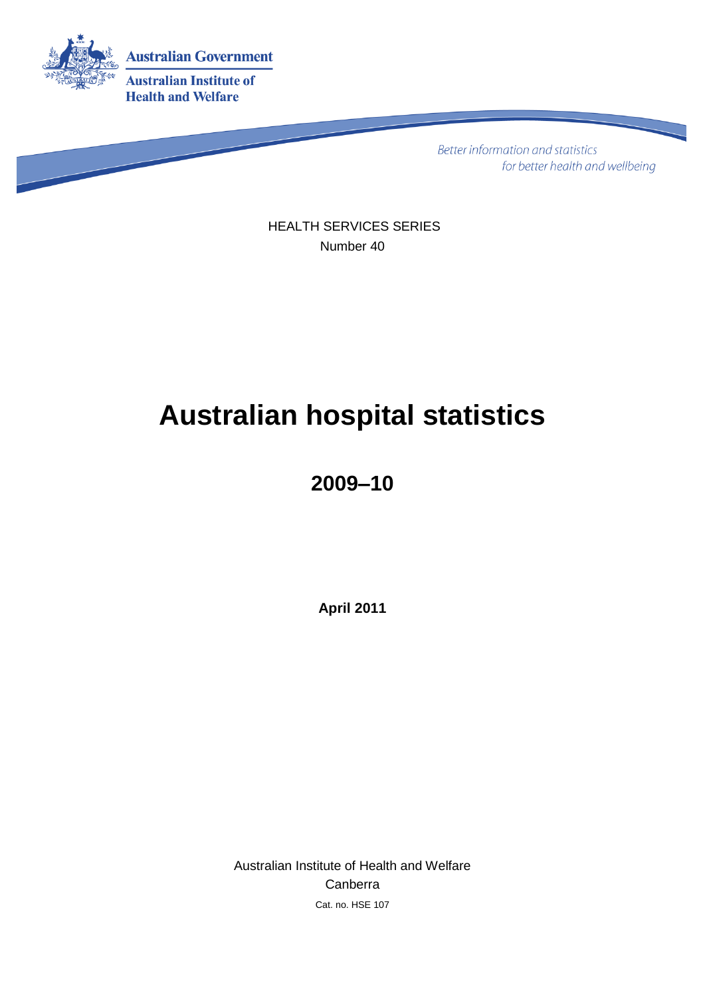

Better information and statistics for better health and wellbeing

HEALTH SERVICES SERIES Number 40

# **Australian hospital statistics**

### **2009–10**

**April 2011**

Australian Institute of Health and Welfare Canberra Cat. no. HSE 107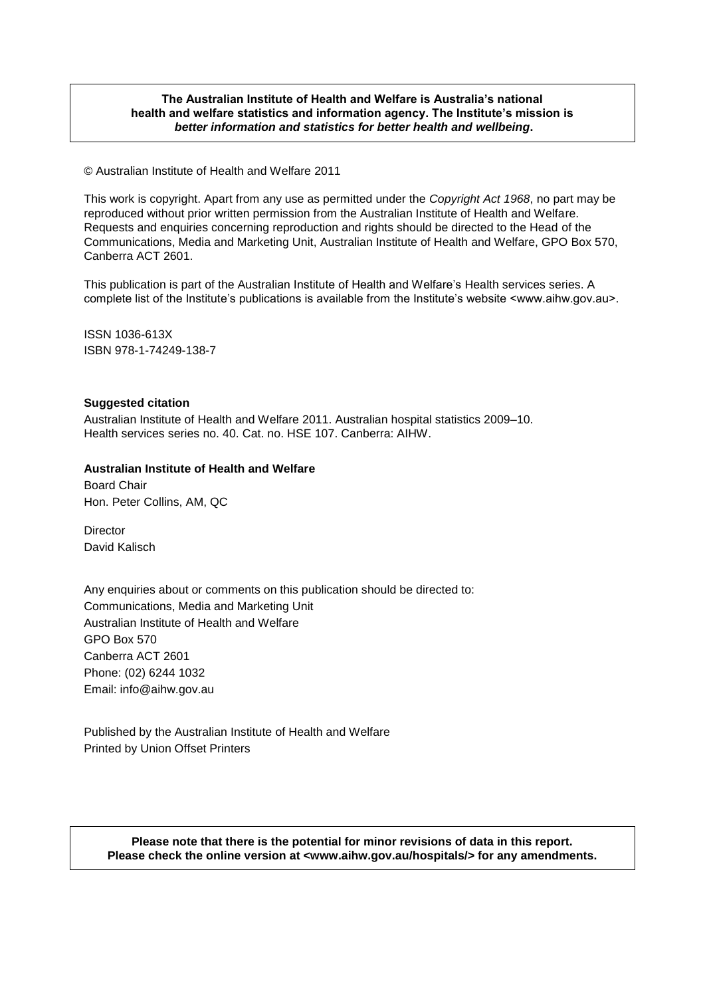#### **The Australian Institute of Health and Welfare is Australia's national health and welfare statistics and information agency. The Institute's mission is** *better information and statistics for better health and wellbeing***.**

© Australian Institute of Health and Welfare 2011

This work is copyright. Apart from any use as permitted under the *Copyright Act 1968*, no part may be reproduced without prior written permission from the Australian Institute of Health and Welfare. Requests and enquiries concerning reproduction and rights should be directed to the Head of the Communications, Media and Marketing Unit, Australian Institute of Health and Welfare, GPO Box 570, Canberra ACT 2601.

This publication is part of the Australian Institute of Health and Welfare's Health services series. A complete list of the Institute's publications is available from the Institute's website <www.aihw.gov.au>.

ISSN 1036-613X ISBN 978-1-74249-138-7

#### **Suggested citation**

Australian Institute of Health and Welfare 2011. Australian hospital statistics 2009–10. Health services series no. 40. Cat. no. HSE 107. Canberra: AIHW.

#### **Australian Institute of Health and Welfare**

Board Chair Hon. Peter Collins, AM, QC

**Director** David Kalisch

Any enquiries about or comments on this publication should be directed to: Communications, Media and Marketing Unit Australian Institute of Health and Welfare GPO Box 570 Canberra ACT 2601 Phone: (02) 6244 1032 Email: info@aihw.gov.au

Published by the Australian Institute of Health and Welfare Printed by Union Offset Printers

**Please note that there is the potential for minor revisions of data in this report. Please check the online version at <www.aihw.gov.au/hospitals/> for any amendments.**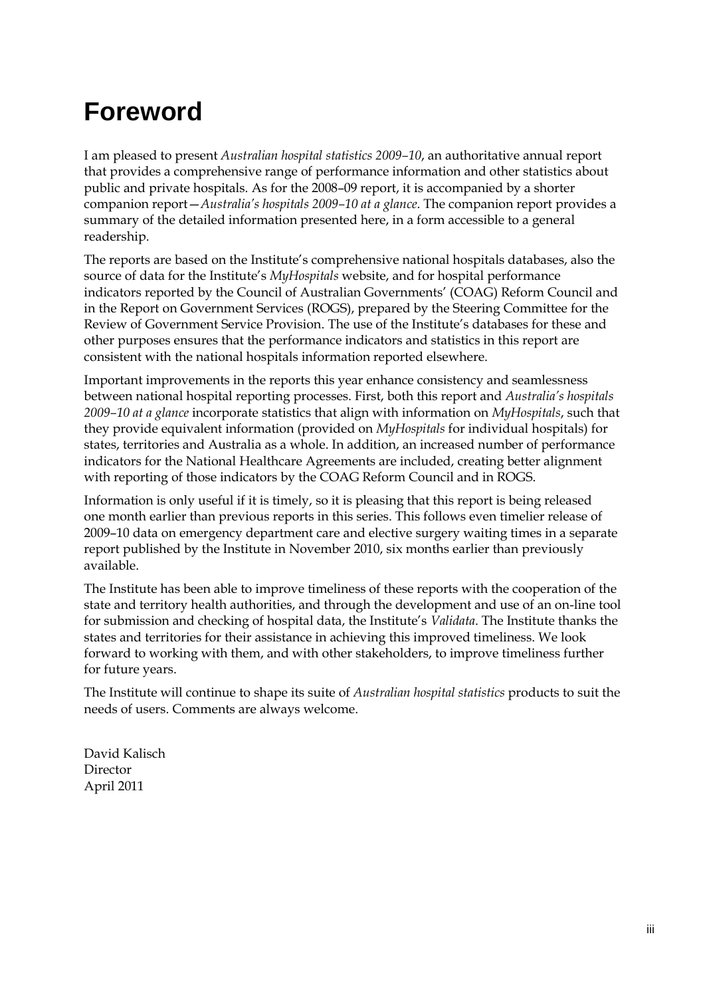### **Foreword**

I am pleased to present *Australian hospital statistics 2009–10*, an authoritative annual report that provides a comprehensive range of performance information and other statistics about public and private hospitals. As for the 2008–09 report, it is accompanied by a shorter companion report—*Australia's hospitals 2009–10 at a glance*. The companion report provides a summary of the detailed information presented here, in a form accessible to a general readership.

The reports are based on the Institute's comprehensive national hospitals databases, also the source of data for the Institute's *MyHospitals* website, and for hospital performance indicators reported by the Council of Australian Governments' (COAG) Reform Council and in the Report on Government Services (ROGS), prepared by the Steering Committee for the Review of Government Service Provision. The use of the Institute's databases for these and other purposes ensures that the performance indicators and statistics in this report are consistent with the national hospitals information reported elsewhere.

Important improvements in the reports this year enhance consistency and seamlessness between national hospital reporting processes. First, both this report and *Australia's hospitals 2009–10 at a glance* incorporate statistics that align with information on *MyHospitals*, such that they provide equivalent information (provided on *MyHospitals* for individual hospitals) for states, territories and Australia as a whole. In addition, an increased number of performance indicators for the National Healthcare Agreements are included, creating better alignment with reporting of those indicators by the COAG Reform Council and in ROGS.

Information is only useful if it is timely, so it is pleasing that this report is being released one month earlier than previous reports in this series. This follows even timelier release of 2009–10 data on emergency department care and elective surgery waiting times in a separate report published by the Institute in November 2010, six months earlier than previously available.

The Institute has been able to improve timeliness of these reports with the cooperation of the state and territory health authorities, and through the development and use of an on-line tool for submission and checking of hospital data, the Institute's *Validata*. The Institute thanks the states and territories for their assistance in achieving this improved timeliness. We look forward to working with them, and with other stakeholders, to improve timeliness further for future years.

The Institute will continue to shape its suite of *Australian hospital statistics* products to suit the needs of users. Comments are always welcome.

David Kalisch Director April 2011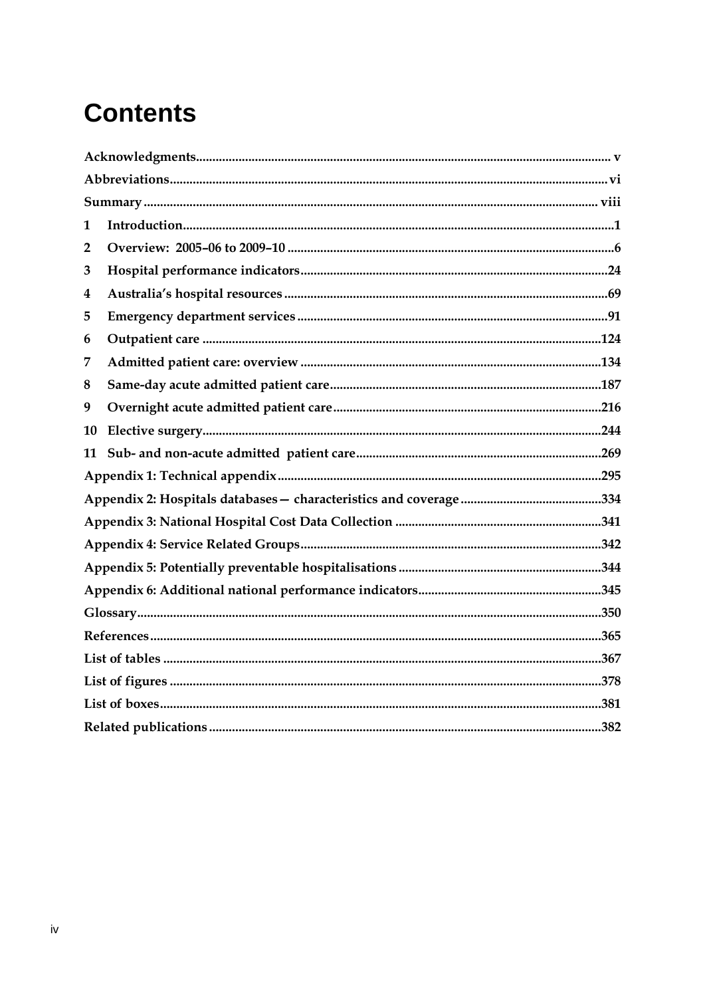## **Contents**

| 1              |  |  |  |
|----------------|--|--|--|
| $\overline{2}$ |  |  |  |
| 3              |  |  |  |
| 4              |  |  |  |
| 5              |  |  |  |
| 6              |  |  |  |
| 7              |  |  |  |
| 8              |  |  |  |
| 9              |  |  |  |
| 10             |  |  |  |
| 11             |  |  |  |
|                |  |  |  |
|                |  |  |  |
|                |  |  |  |
|                |  |  |  |
|                |  |  |  |
|                |  |  |  |
|                |  |  |  |
|                |  |  |  |
|                |  |  |  |
|                |  |  |  |
|                |  |  |  |
|                |  |  |  |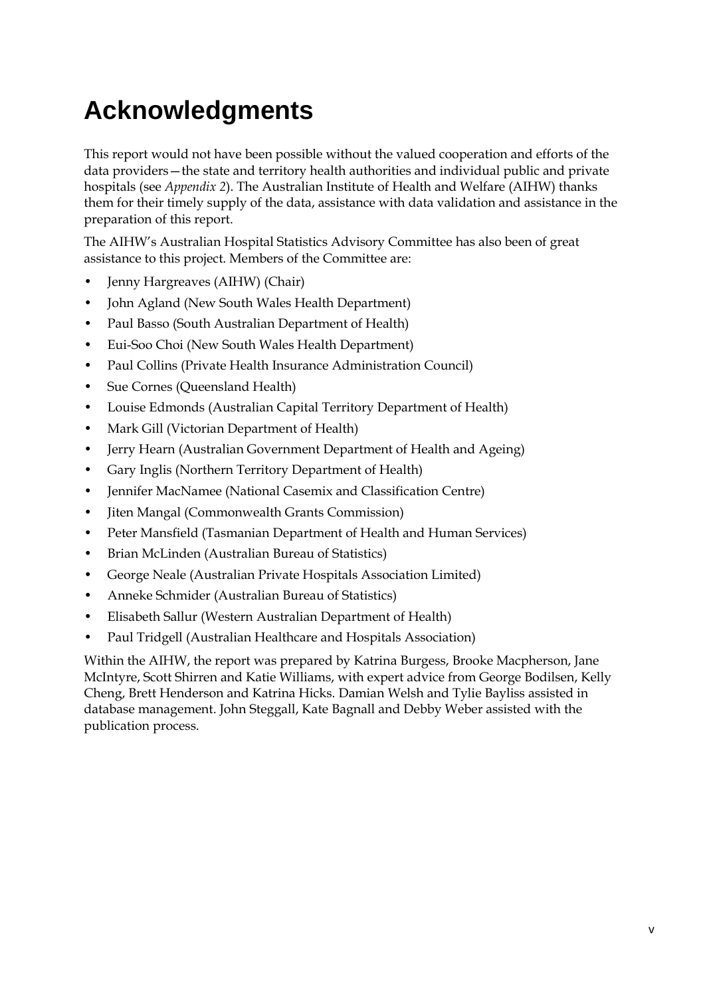## <span id="page-4-0"></span>**Acknowledgments**

This report would not have been possible without the valued cooperation and efforts of the data providers—the state and territory health authorities and individual public and private hospitals (see *Appendix 2*). The Australian Institute of Health and Welfare (AIHW) thanks them for their timely supply of the data, assistance with data validation and assistance in the preparation of this report.

The AIHW's Australian Hospital Statistics Advisory Committee has also been of great assistance to this project. Members of the Committee are:

- Jenny Hargreaves (AIHW) (Chair)
- John Agland (New South Wales Health Department)
- Paul Basso (South Australian Department of Health)
- Eui-Soo Choi (New South Wales Health Department)
- Paul Collins (Private Health Insurance Administration Council)
- Sue Cornes (Queensland Health)
- Louise Edmonds (Australian Capital Territory Department of Health)
- Mark Gill (Victorian Department of Health)
- Jerry Hearn (Australian Government Department of Health and Ageing)
- Gary Inglis (Northern Territory Department of Health)
- Jennifer MacNamee (National Casemix and Classification Centre)
- Jiten Mangal (Commonwealth Grants Commission)
- Peter Mansfield (Tasmanian Department of Health and Human Services)
- Brian McLinden (Australian Bureau of Statistics)
- George Neale (Australian Private Hospitals Association Limited)
- Anneke Schmider (Australian Bureau of Statistics)
- Elisabeth Sallur (Western Australian Department of Health)
- Paul Tridgell (Australian Healthcare and Hospitals Association)

Within the AIHW, the report was prepared by Katrina Burgess, Brooke Macpherson, Jane McIntyre, Scott Shirren and Katie Williams, with expert advice from George Bodilsen, Kelly Cheng, Brett Henderson and Katrina Hicks. Damian Welsh and Tylie Bayliss assisted in database management. John Steggall, Kate Bagnall and Debby Weber assisted with the publication process.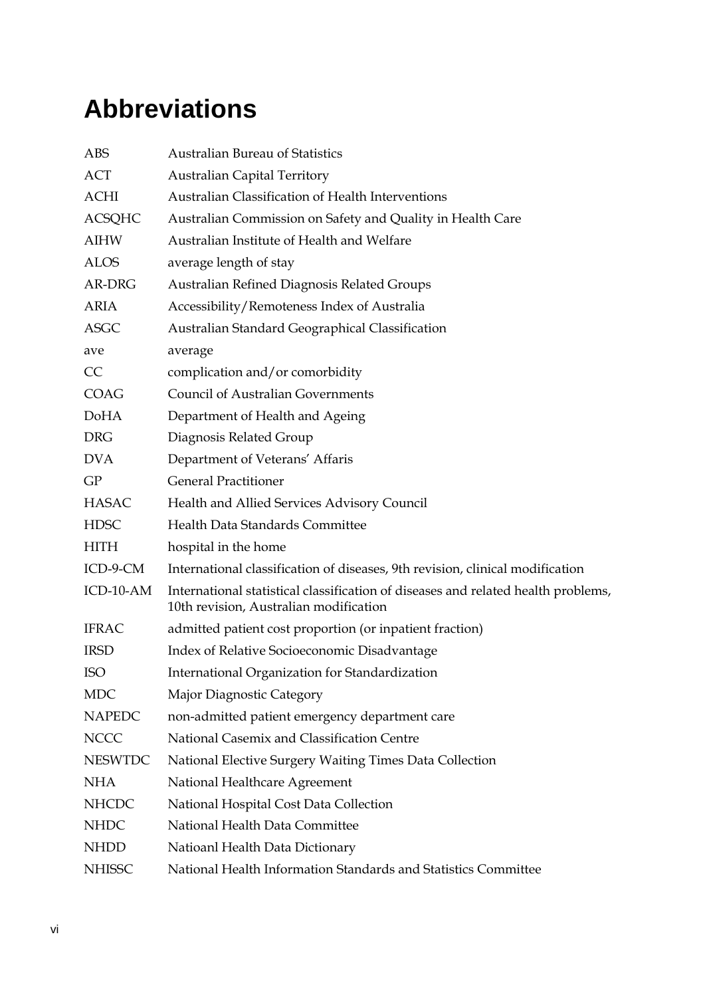## <span id="page-5-0"></span>**Abbreviations**

| <b>ABS</b>     | <b>Australian Bureau of Statistics</b>                                                                                      |  |  |
|----------------|-----------------------------------------------------------------------------------------------------------------------------|--|--|
| <b>ACT</b>     | <b>Australian Capital Territory</b>                                                                                         |  |  |
| <b>ACHI</b>    | Australian Classification of Health Interventions                                                                           |  |  |
| <b>ACSQHC</b>  | Australian Commission on Safety and Quality in Health Care                                                                  |  |  |
| <b>AIHW</b>    | Australian Institute of Health and Welfare                                                                                  |  |  |
| <b>ALOS</b>    | average length of stay                                                                                                      |  |  |
| AR-DRG         | <b>Australian Refined Diagnosis Related Groups</b>                                                                          |  |  |
| <b>ARIA</b>    | Accessibility/Remoteness Index of Australia                                                                                 |  |  |
| <b>ASGC</b>    | Australian Standard Geographical Classification                                                                             |  |  |
| ave            | average                                                                                                                     |  |  |
| CC             | complication and/or comorbidity                                                                                             |  |  |
| <b>COAG</b>    | <b>Council of Australian Governments</b>                                                                                    |  |  |
| <b>DoHA</b>    | Department of Health and Ageing                                                                                             |  |  |
| <b>DRG</b>     | Diagnosis Related Group                                                                                                     |  |  |
| <b>DVA</b>     | Department of Veterans' Affaris                                                                                             |  |  |
| GP             | <b>General Practitioner</b>                                                                                                 |  |  |
| <b>HASAC</b>   | Health and Allied Services Advisory Council                                                                                 |  |  |
| <b>HDSC</b>    | Health Data Standards Committee                                                                                             |  |  |
| <b>HITH</b>    | hospital in the home                                                                                                        |  |  |
| ICD-9-CM       | International classification of diseases, 9th revision, clinical modification                                               |  |  |
| ICD-10-AM      | International statistical classification of diseases and related health problems,<br>10th revision, Australian modification |  |  |
| <b>IFRAC</b>   | admitted patient cost proportion (or inpatient fraction)                                                                    |  |  |
| <b>IRSD</b>    | Index of Relative Socioeconomic Disadvantage                                                                                |  |  |
| <b>ISO</b>     | International Organization for Standardization                                                                              |  |  |
| <b>MDC</b>     | Major Diagnostic Category                                                                                                   |  |  |
| <b>NAPEDC</b>  | non-admitted patient emergency department care                                                                              |  |  |
| <b>NCCC</b>    | National Casemix and Classification Centre                                                                                  |  |  |
| <b>NESWTDC</b> | National Elective Surgery Waiting Times Data Collection                                                                     |  |  |
| <b>NHA</b>     | National Healthcare Agreement                                                                                               |  |  |
| <b>NHCDC</b>   | National Hospital Cost Data Collection                                                                                      |  |  |
| <b>NHDC</b>    | National Health Data Committee                                                                                              |  |  |
| <b>NHDD</b>    | Natioanl Health Data Dictionary                                                                                             |  |  |
| <b>NHISSC</b>  | National Health Information Standards and Statistics Committee                                                              |  |  |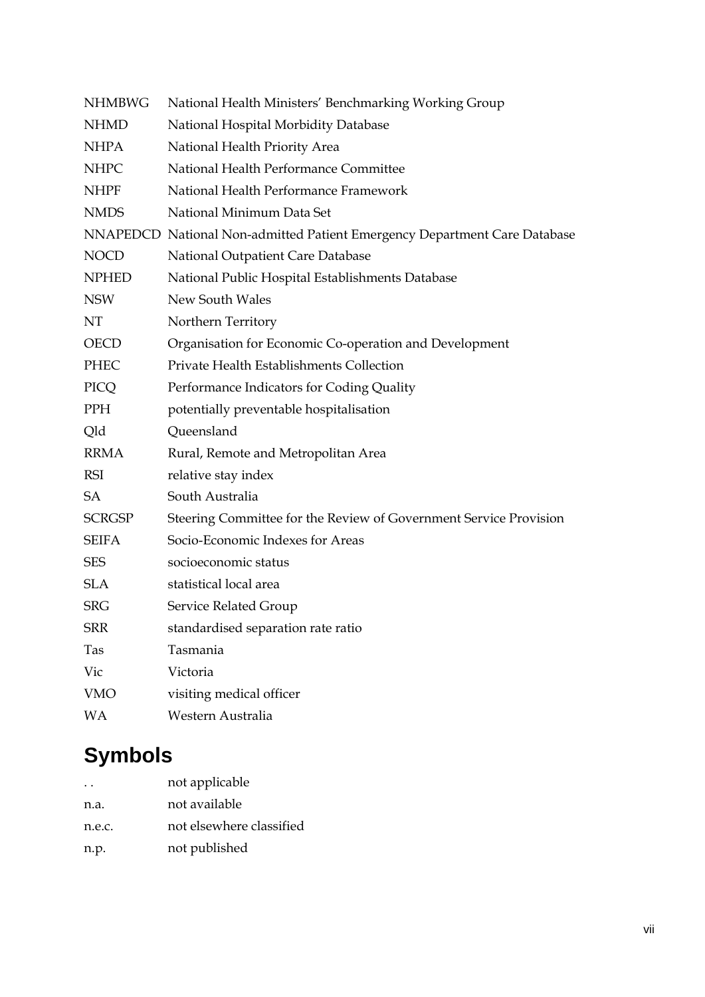| <b>NHMBWG</b> | National Health Ministers' Benchmarking Working Group                     |
|---------------|---------------------------------------------------------------------------|
| <b>NHMD</b>   | National Hospital Morbidity Database                                      |
| <b>NHPA</b>   | National Health Priority Area                                             |
| <b>NHPC</b>   | National Health Performance Committee                                     |
| <b>NHPF</b>   | National Health Performance Framework                                     |
| <b>NMDS</b>   | National Minimum Data Set                                                 |
|               | NNAPEDCD National Non-admitted Patient Emergency Department Care Database |
| <b>NOCD</b>   | National Outpatient Care Database                                         |
| <b>NPHED</b>  | National Public Hospital Establishments Database                          |
| <b>NSW</b>    | New South Wales                                                           |
| NT            | Northern Territory                                                        |
| <b>OECD</b>   | Organisation for Economic Co-operation and Development                    |
| <b>PHEC</b>   | Private Health Establishments Collection                                  |
| PICQ          | Performance Indicators for Coding Quality                                 |
| PPH           | potentially preventable hospitalisation                                   |
| Qld           | Queensland                                                                |
| <b>RRMA</b>   | Rural, Remote and Metropolitan Area                                       |
| RSI           | relative stay index                                                       |
| <b>SA</b>     | South Australia                                                           |
| <b>SCRGSP</b> | Steering Committee for the Review of Government Service Provision         |
| <b>SEIFA</b>  | Socio-Economic Indexes for Areas                                          |
| <b>SES</b>    | socioeconomic status                                                      |
| <b>SLA</b>    | statistical local area                                                    |
| <b>SRG</b>    | Service Related Group                                                     |
| <b>SRR</b>    | standardised separation rate ratio                                        |
| Tas           | Tasmania                                                                  |
| Vic           | Victoria                                                                  |
| <b>VMO</b>    | visiting medical officer                                                  |
| WA            | Western Australia                                                         |

### **Symbols**

| $\ddot{\phantom{0}}$ | not applicable           |
|----------------------|--------------------------|
| n.a.                 | not available            |
| n.e.c.               | not elsewhere classified |
| n.p.                 | not published            |